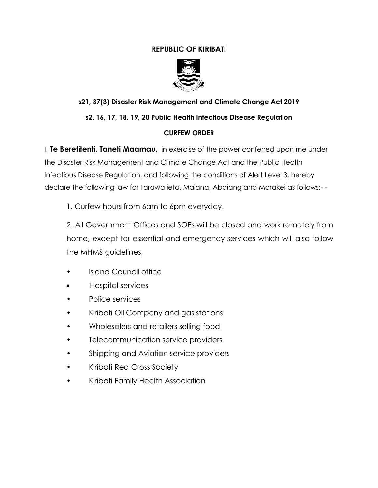### **REPUBLIC OF KIRIBATI**



# **s21, 37(3) Disaster Risk Management and Climate Change Act 2019**

### **s2, 16, 17, 18, 19, 20 Public Health Infectious Disease Regulation**

#### **CURFEW ORDER**

I, **Te Beretitenti, Taneti Maamau,** in exercise of the power conferred upon me under the Disaster Risk Management and Climate Change Act and the Public Health Infectious Disease Regulation, and following the conditions of Alert Level 3, hereby declare the following law for Tarawa ieta, Maiana, Abaiang and Marakei as follows:- -

1. Curfew hours from 6am to 6pm everyday.

2. All Government Offices and SOEs will be closed and work remotely from home, except for essential and emergency services which will also follow the MHMS guidelines;

- Island Council office
- Hospital services
- Police services
- Kiribati Oil Company and gas stations
- Wholesalers and retailers selling food
- Telecommunication service providers
- Shipping and Aviation service providers
- Kiribati Red Cross Society
- Kiribati Family Health Association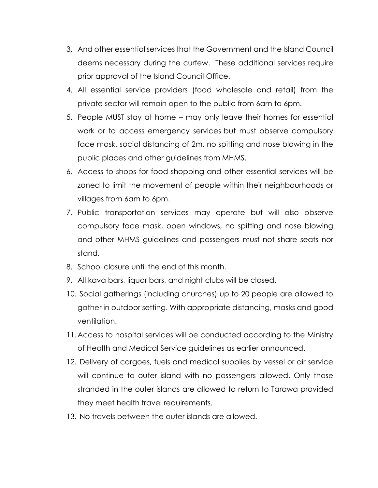- 3. And other essential services that the Government and the Island Council deems necessary during the curfew. These additional services require prior approval of the Island Council Office.
- 4. All essential service providers (food wholesale and retail) from the private sector will remain open to the public from 6am to 6pm.
- 5. People MUST stay at home may only leave their homes for essential work or to access emergency services but must observe compulsory face mask, social distancing of 2m, no spitting and nose blowing in the public places and other guidelines from MHMS.
- 6. Access to shops for food shopping and other essential services will be zoned to limit the movement of people within their neighbourhoods or villages from 6am to 6pm.
- 7. Public transportation services may operate but will also observe compulsory face mask, open windows, no spitting and nose blowing and other MHMS guidelines and passengers must not share seats nor stand.
- 8. School closure until the end of this month.
- 9. All kava bars, liquor bars, and night clubs will be closed.
- 10. Social gatherings (including churches) up to 20 people are allowed to gather in outdoor setting. With appropriate distancing, masks and good ventilation.
- 11.Access to hospital services will be conducted according to the Ministry of Health and Medical Service guidelines as earlier announced.
- 12. Delivery of cargoes, fuels and medical supplies by vessel or air service will continue to outer island with no passengers allowed. Only those stranded in the outer islands are allowed to return to Tarawa provided they meet health travel requirements.
- 13. No travels between the outer islands are allowed.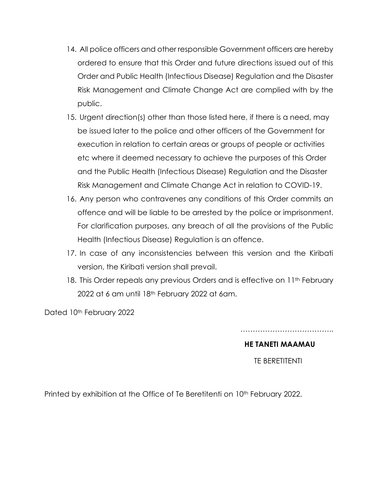- 14. All police officers and other responsible Government officers are hereby ordered to ensure that this Order and future directions issued out of this Order and Public Health (Infectious Disease) Regulation and the Disaster Risk Management and Climate Change Act are complied with by the public.
- 15. Urgent direction(s) other than those listed here, if there is a need, may be issued later to the police and other officers of the Government for execution in relation to certain areas or groups of people or activities etc where it deemed necessary to achieve the purposes of this Order and the Public Health (Infectious Disease) Regulation and the Disaster Risk Management and Climate Change Act in relation to COVID-19.
- 16. Any person who contravenes any conditions of this Order commits an offence and will be liable to be arrested by the police or imprisonment. For clarification purposes, any breach of all the provisions of the Public Health (Infectious Disease) Regulation is an offence.
- 17. In case of any inconsistencies between this version and the Kiribati version, the Kiribati version shall prevail.
- 18. This Order repeals any previous Orders and is effective on 11<sup>th</sup> February 2022 at 6 am until 18th February 2022 at 6am.

Dated 10th February 2022

**HE TANETI MAAMAU**

…………………………………………

TE BERETITENTI

Printed by exhibition at the Office of Te Beretitenti on 10<sup>th</sup> February 2022.